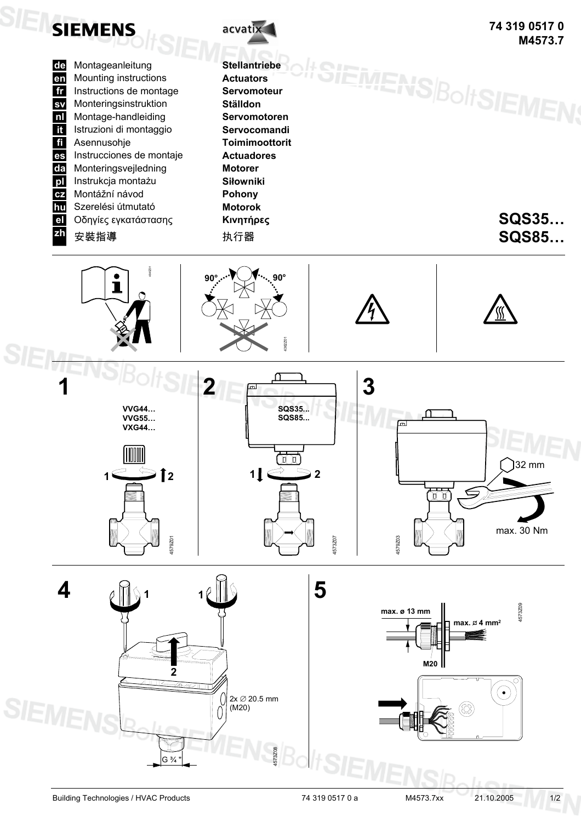

M4573.7xx